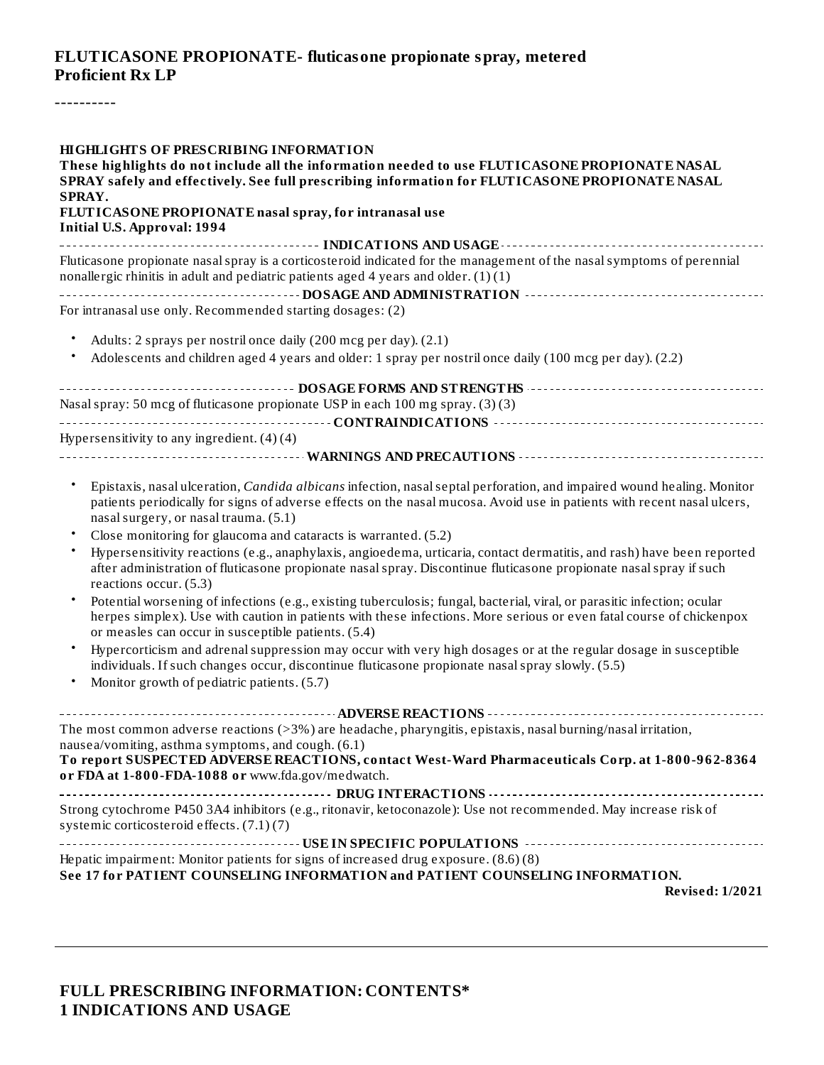#### **FLUTICASONE PROPIONATE- fluticasone propionate spray, metered Proficient Rx LP**

----------

| <b>HIGHLIGHTS OF PRESCRIBING INFORMATION</b><br>These highlights do not include all the information needed to use FLUTICASONE PROPIONATE NASAL<br>SPRAY safely and effectively. See full prescribing information for FLUTICASONE PROPIONATE NASAL<br>SPRAY.<br>FLUTICASONE PROPIONATE nasal spray, for intranasal use<br><b>Initial U.S. Approval: 1994</b>                                                                                                                                                                                                                                                                                                                                                                                                                                                                                                                                                                                                                                                                                                                                                                                                                                                                                                          |
|----------------------------------------------------------------------------------------------------------------------------------------------------------------------------------------------------------------------------------------------------------------------------------------------------------------------------------------------------------------------------------------------------------------------------------------------------------------------------------------------------------------------------------------------------------------------------------------------------------------------------------------------------------------------------------------------------------------------------------------------------------------------------------------------------------------------------------------------------------------------------------------------------------------------------------------------------------------------------------------------------------------------------------------------------------------------------------------------------------------------------------------------------------------------------------------------------------------------------------------------------------------------|
| ----------------- INDICATIONS AND USAGE ----------------------<br>Fluticasone propionate nasal spray is a corticosteroid indicated for the management of the nasal symptoms of perennial<br>nonallergic rhinitis in adult and pediatric patients aged 4 years and older. (1)(1)                                                                                                                                                                                                                                                                                                                                                                                                                                                                                                                                                                                                                                                                                                                                                                                                                                                                                                                                                                                      |
| For intranasal use only. Recommended starting dosages: (2)                                                                                                                                                                                                                                                                                                                                                                                                                                                                                                                                                                                                                                                                                                                                                                                                                                                                                                                                                                                                                                                                                                                                                                                                           |
| Adults: 2 sprays per nostril once daily (200 mcg per day). (2.1)<br>Adolescents and children aged 4 years and older: 1 spray per nostril once daily (100 mcg per day). (2.2)                                                                                                                                                                                                                                                                                                                                                                                                                                                                                                                                                                                                                                                                                                                                                                                                                                                                                                                                                                                                                                                                                         |
| Nasal spray: 50 mcg of fluticasone propionate USP in each 100 mg spray. (3)(3)                                                                                                                                                                                                                                                                                                                                                                                                                                                                                                                                                                                                                                                                                                                                                                                                                                                                                                                                                                                                                                                                                                                                                                                       |
| Hypersensitivity to any ingredient. $(4)(4)$                                                                                                                                                                                                                                                                                                                                                                                                                                                                                                                                                                                                                                                                                                                                                                                                                                                                                                                                                                                                                                                                                                                                                                                                                         |
|                                                                                                                                                                                                                                                                                                                                                                                                                                                                                                                                                                                                                                                                                                                                                                                                                                                                                                                                                                                                                                                                                                                                                                                                                                                                      |
| $\bullet$<br>Epistaxis, nasal ulceration, Candida albicans infection, nasal septal perforation, and impaired wound healing. Monitor<br>patients periodically for signs of adverse effects on the nasal mucosa. Avoid use in patients with recent nasal ulcers,<br>nasal surgery, or nasal trauma. (5.1)<br>Close monitoring for glaucoma and cataracts is warranted. (5.2)<br>Hypersensitivity reactions (e.g., anaphylaxis, angioedema, urticaria, contact dermatitis, and rash) have been reported<br>$\bullet$<br>after administration of fluticasone propionate nasal spray. Discontinue fluticasone propionate nasal spray if such<br>reactions occur. (5.3)<br>Potential worsening of infections (e.g., existing tuberculosis; fungal, bacterial, viral, or parasitic infection; ocular<br>$\bullet$<br>herpes simplex). Use with caution in patients with these infections. More serious or even fatal course of chickenpox<br>or measles can occur in susceptible patients. (5.4)<br>Hypercorticism and adrenal suppression may occur with very high dosages or at the regular dosage in susceptible<br>٠<br>individuals. If such changes occur, discontinue fluticasone propionate nasal spray slowly. (5.5)<br>Monitor growth of pediatric patients. (5.7) |
| The most common adverse reactions (>3%) are headache, pharyngitis, epistaxis, nasal burning/nasal irritation,<br>nausea/vomiting, asthma symptoms, and cough. (6.1)<br>To report SUSPECTED ADVERSE REACTIONS, contact West-Ward Pharmaceuticals Corp. at 1-800-962-8364<br>or FDA at 1-800-FDA-1088 or www.fda.gov/medwatch.                                                                                                                                                                                                                                                                                                                                                                                                                                                                                                                                                                                                                                                                                                                                                                                                                                                                                                                                         |
| Strong cytochrome P450 3A4 inhibitors (e.g., ritonavir, ketoconazole): Use not recommended. May increase risk of<br>systemic corticosteroid effects. (7.1)(7)                                                                                                                                                                                                                                                                                                                                                                                                                                                                                                                                                                                                                                                                                                                                                                                                                                                                                                                                                                                                                                                                                                        |
| Hepatic impairment: Monitor patients for signs of increased drug exposure. (8.6) (8)<br>See 17 for PATIENT COUNSELING INFORMATION and PATIENT COUNSELING INFORMATION.<br><b>Revised: 1/2021</b>                                                                                                                                                                                                                                                                                                                                                                                                                                                                                                                                                                                                                                                                                                                                                                                                                                                                                                                                                                                                                                                                      |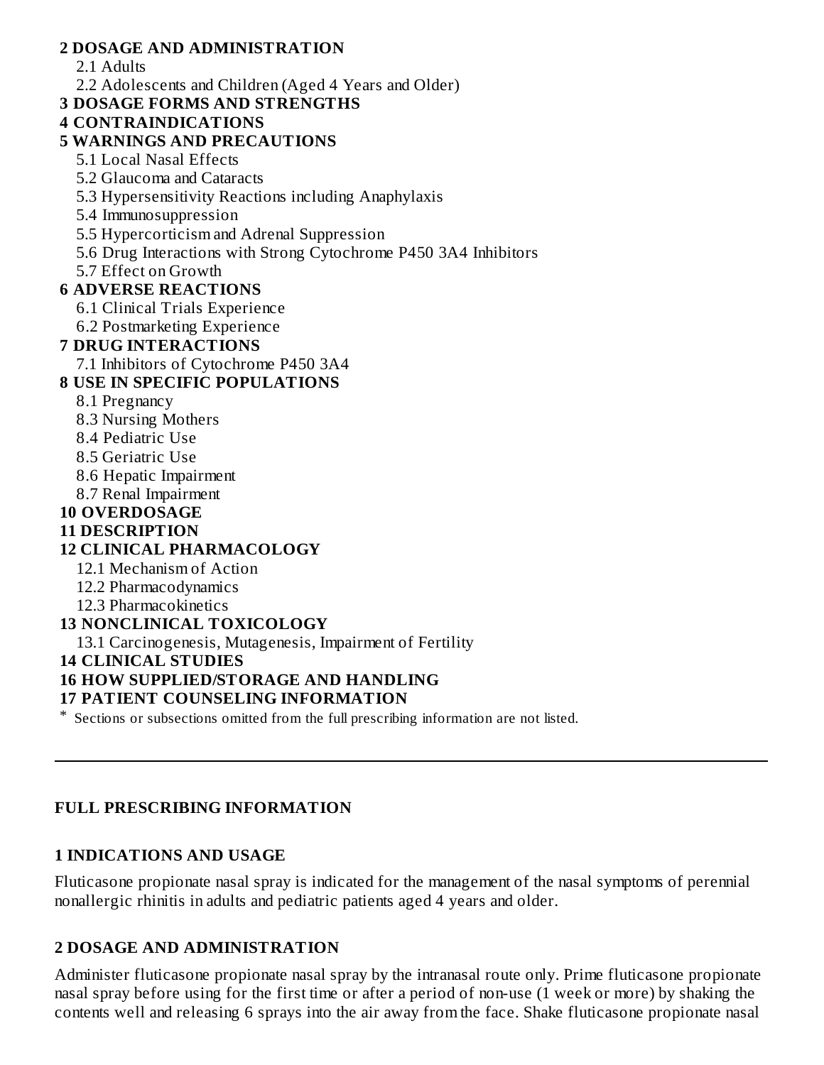#### **2 DOSAGE AND ADMINISTRATION**

2.1 Adults

2.2 Adolescents and Children (Aged 4 Years and Older)

**3 DOSAGE FORMS AND STRENGTHS**

#### **4 CONTRAINDICATIONS**

#### **5 WARNINGS AND PRECAUTIONS**

- 5.1 Local Nasal Effects
- 5.2 Glaucoma and Cataracts
- 5.3 Hypersensitivity Reactions including Anaphylaxis
- 5.4 Immunosuppression
- 5.5 Hypercorticism and Adrenal Suppression
- 5.6 Drug Interactions with Strong Cytochrome P450 3A4 Inhibitors
- 5.7 Effect on Growth

#### **6 ADVERSE REACTIONS**

- 6.1 Clinical Trials Experience
- 6.2 Postmarketing Experience

#### **7 DRUG INTERACTIONS**

7.1 Inhibitors of Cytochrome P450 3A4

## **8 USE IN SPECIFIC POPULATIONS**

- 8.1 Pregnancy
- 8.3 Nursing Mothers
- 8.4 Pediatric Use
- 8.5 Geriatric Use
- 8.6 Hepatic Impairment
- 8.7 Renal Impairment

#### **10 OVERDOSAGE**

**11 DESCRIPTION**

## **12 CLINICAL PHARMACOLOGY**

- 12.1 Mechanism of Action
- 12.2 Pharmacodynamics
- 12.3 Pharmacokinetics

## **13 NONCLINICAL TOXICOLOGY**

13.1 Carcinogenesis, Mutagenesis, Impairment of Fertility

**14 CLINICAL STUDIES**

## **16 HOW SUPPLIED/STORAGE AND HANDLING**

#### **17 PATIENT COUNSELING INFORMATION**

\* Sections or subsections omitted from the full prescribing information are not listed.

## **FULL PRESCRIBING INFORMATION**

#### **1 INDICATIONS AND USAGE**

Fluticasone propionate nasal spray is indicated for the management of the nasal symptoms of perennial nonallergic rhinitis in adults and pediatric patients aged 4 years and older.

#### **2 DOSAGE AND ADMINISTRATION**

Administer fluticasone propionate nasal spray by the intranasal route only. Prime fluticasone propionate nasal spray before using for the first time or after a period of non-use (1 week or more) by shaking the contents well and releasing 6 sprays into the air away from the face. Shake fluticasone propionate nasal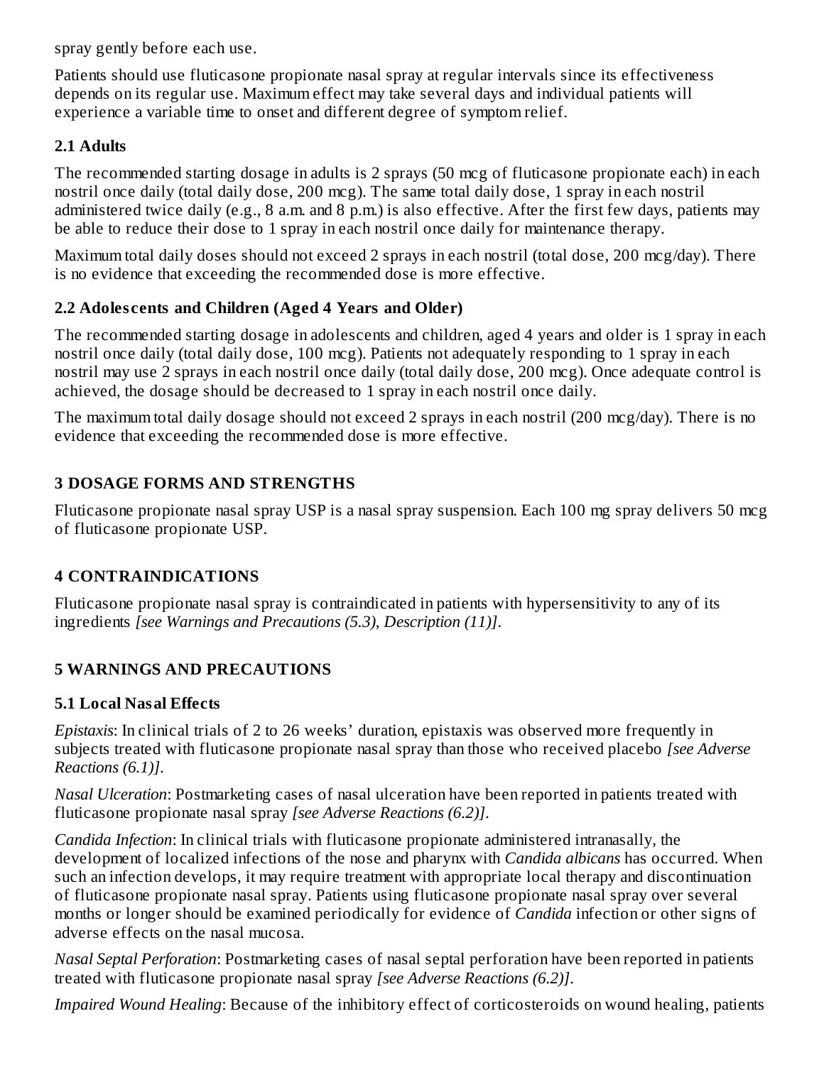spray gently before each use.

Patients should use fluticasone propionate nasal spray at regular intervals since its effectiveness depends on its regular use. Maximum effect may take several days and individual patients will experience a variable time to onset and different degree of symptom relief.

## **2.1 Adults**

The recommended starting dosage in adults is 2 sprays (50 mcg of fluticasone propionate each) in each nostril once daily (total daily dose, 200 mcg). The same total daily dose, 1 spray in each nostril administered twice daily (e.g., 8 a.m. and 8 p.m.) is also effective. After the first few days, patients may be able to reduce their dose to 1 spray in each nostril once daily for maintenance therapy.

Maximum total daily doses should not exceed 2 sprays in each nostril (total dose, 200 mcg/day). There is no evidence that exceeding the recommended dose is more effective.

## **2.2 Adoles cents and Children (Aged 4 Years and Older)**

The recommended starting dosage in adolescents and children, aged 4 years and older is 1 spray in each nostril once daily (total daily dose, 100 mcg). Patients not adequately responding to 1 spray in each nostril may use 2 sprays in each nostril once daily (total daily dose, 200 mcg). Once adequate control is achieved, the dosage should be decreased to 1 spray in each nostril once daily.

The maximum total daily dosage should not exceed 2 sprays in each nostril (200 mcg/day). There is no evidence that exceeding the recommended dose is more effective.

## **3 DOSAGE FORMS AND STRENGTHS**

Fluticasone propionate nasal spray USP is a nasal spray suspension. Each 100 mg spray delivers 50 mcg of fluticasone propionate USP.

## **4 CONTRAINDICATIONS**

Fluticasone propionate nasal spray is contraindicated in patients with hypersensitivity to any of its ingredients *[see Warnings and Precautions (5.3)*, *Description (11)]*.

# **5 WARNINGS AND PRECAUTIONS**

## **5.1 Local Nasal Effects**

*Epistaxis*: In clinical trials of 2 to 26 weeks' duration, epistaxis was observed more frequently in subjects treated with fluticasone propionate nasal spray than those who received placebo *[see Adverse Reactions (6.1)]*.

*Nasal Ulceration*: Postmarketing cases of nasal ulceration have been reported in patients treated with fluticasone propionate nasal spray *[see Adverse Reactions (6.2)]*.

*Candida Infection*: In clinical trials with fluticasone propionate administered intranasally, the development of localized infections of the nose and pharynx with *Candida albicans* has occurred. When such an infection develops, it may require treatment with appropriate local therapy and discontinuation of fluticasone propionate nasal spray. Patients using fluticasone propionate nasal spray over several months or longer should be examined periodically for evidence of *Candida* infection or other signs of adverse effects on the nasal mucosa.

*Nasal Septal Perforation*: Postmarketing cases of nasal septal perforation have been reported in patients treated with fluticasone propionate nasal spray *[see Adverse Reactions (6.2)]*.

*Impaired Wound Healing*: Because of the inhibitory effect of corticosteroids on wound healing, patients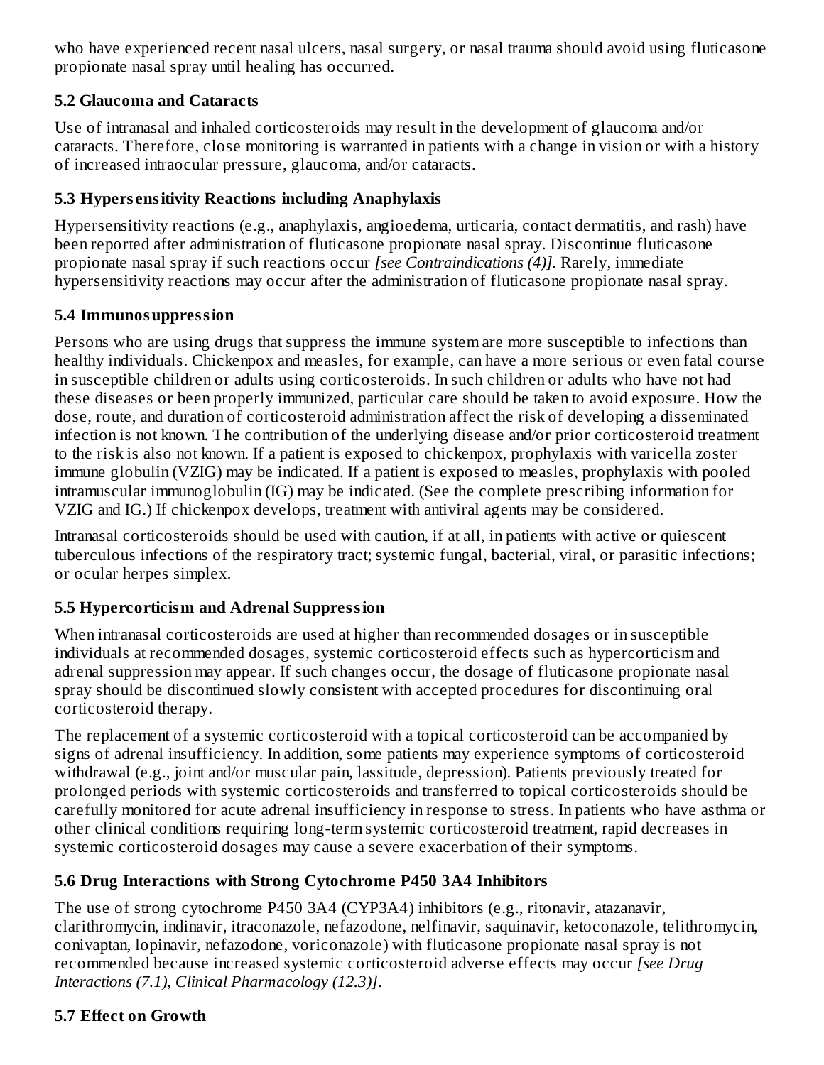who have experienced recent nasal ulcers, nasal surgery, or nasal trauma should avoid using fluticasone propionate nasal spray until healing has occurred.

#### **5.2 Glaucoma and Cataracts**

Use of intranasal and inhaled corticosteroids may result in the development of glaucoma and/or cataracts. Therefore, close monitoring is warranted in patients with a change in vision or with a history of increased intraocular pressure, glaucoma, and/or cataracts.

#### **5.3 Hypers ensitivity Reactions including Anaphylaxis**

Hypersensitivity reactions (e.g., anaphylaxis, angioedema, urticaria, contact dermatitis, and rash) have been reported after administration of fluticasone propionate nasal spray. Discontinue fluticasone propionate nasal spray if such reactions occur *[see Contraindications (4)]*. Rarely, immediate hypersensitivity reactions may occur after the administration of fluticasone propionate nasal spray.

#### **5.4 Immunosuppression**

Persons who are using drugs that suppress the immune system are more susceptible to infections than healthy individuals. Chickenpox and measles, for example, can have a more serious or even fatal course in susceptible children or adults using corticosteroids. In such children or adults who have not had these diseases or been properly immunized, particular care should be taken to avoid exposure. How the dose, route, and duration of corticosteroid administration affect the risk of developing a disseminated infection is not known. The contribution of the underlying disease and/or prior corticosteroid treatment to the risk is also not known. If a patient is exposed to chickenpox, prophylaxis with varicella zoster immune globulin (VZIG) may be indicated. If a patient is exposed to measles, prophylaxis with pooled intramuscular immunoglobulin (IG) may be indicated. (See the complete prescribing information for VZIG and IG.) If chickenpox develops, treatment with antiviral agents may be considered.

Intranasal corticosteroids should be used with caution, if at all, in patients with active or quiescent tuberculous infections of the respiratory tract; systemic fungal, bacterial, viral, or parasitic infections; or ocular herpes simplex.

#### **5.5 Hypercorticism and Adrenal Suppression**

When intranasal corticosteroids are used at higher than recommended dosages or in susceptible individuals at recommended dosages, systemic corticosteroid effects such as hypercorticism and adrenal suppression may appear. If such changes occur, the dosage of fluticasone propionate nasal spray should be discontinued slowly consistent with accepted procedures for discontinuing oral corticosteroid therapy.

The replacement of a systemic corticosteroid with a topical corticosteroid can be accompanied by signs of adrenal insufficiency. In addition, some patients may experience symptoms of corticosteroid withdrawal (e.g., joint and/or muscular pain, lassitude, depression). Patients previously treated for prolonged periods with systemic corticosteroids and transferred to topical corticosteroids should be carefully monitored for acute adrenal insufficiency in response to stress. In patients who have asthma or other clinical conditions requiring long-term systemic corticosteroid treatment, rapid decreases in systemic corticosteroid dosages may cause a severe exacerbation of their symptoms.

## **5.6 Drug Interactions with Strong Cytochrome P450 3A4 Inhibitors**

The use of strong cytochrome P450 3A4 (CYP3A4) inhibitors (e.g., ritonavir, atazanavir, clarithromycin, indinavir, itraconazole, nefazodone, nelfinavir, saquinavir, ketoconazole, telithromycin, conivaptan, lopinavir, nefazodone, voriconazole) with fluticasone propionate nasal spray is not recommended because increased systemic corticosteroid adverse effects may occur *[see Drug Interactions (7.1), Clinical Pharmacology (12.3)]*.

## **5.7 Effect on Growth**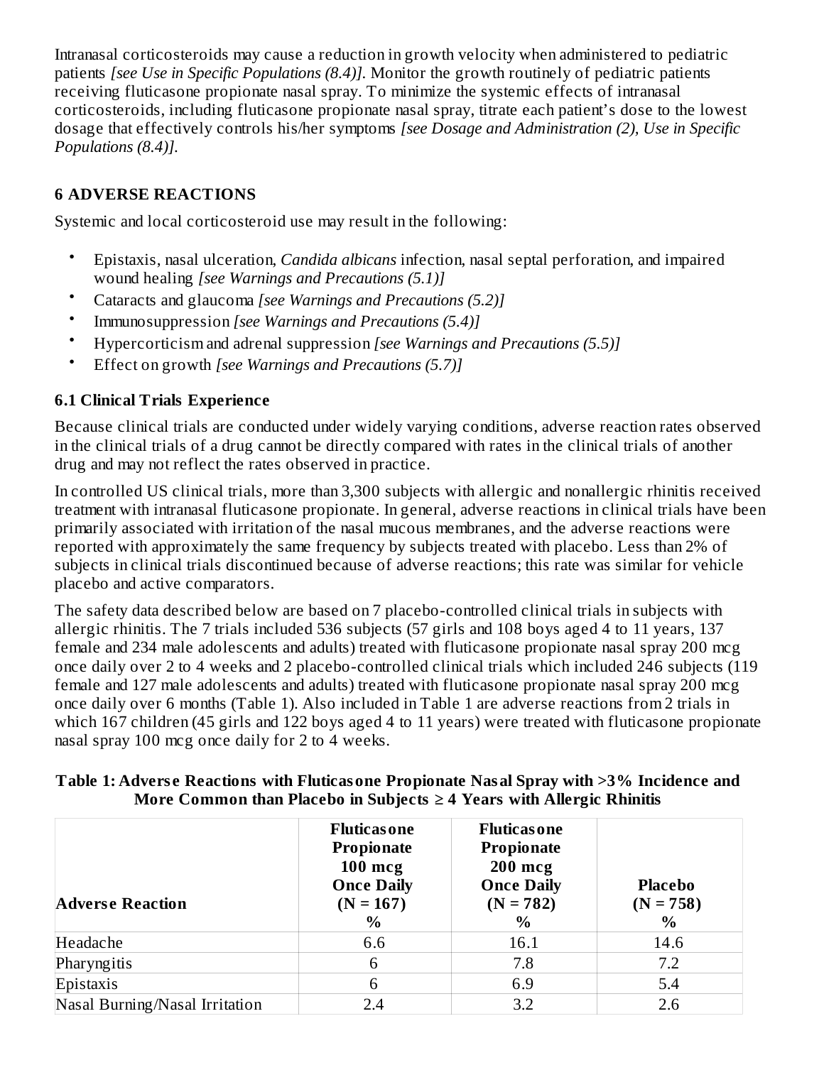Intranasal corticosteroids may cause a reduction in growth velocity when administered to pediatric patients *[see Use in Specific Populations (8.4)].* Monitor the growth routinely of pediatric patients receiving fluticasone propionate nasal spray. To minimize the systemic effects of intranasal corticosteroids, including fluticasone propionate nasal spray, titrate each patient's dose to the lowest dosage that effectively controls his/her symptoms *[see Dosage and Administration (2), Use in Specific Populations (8.4)].*

## **6 ADVERSE REACTIONS**

Systemic and local corticosteroid use may result in the following:

- Epistaxis, nasal ulceration, *Candida albicans* infection, nasal septal perforation, and impaired wound healing *[see Warnings and Precautions (5.1)]*
- Cataracts and glaucoma *[see Warnings and Precautions (5.2)]*
- Immunosuppression *[see Warnings and Precautions (5.4)]*
- Hypercorticism and adrenal suppression *[see Warnings and Precautions (5.5)]*
- Effect on growth *[see Warnings and Precautions (5.7)]*

#### **6.1 Clinical Trials Experience**

Because clinical trials are conducted under widely varying conditions, adverse reaction rates observed in the clinical trials of a drug cannot be directly compared with rates in the clinical trials of another drug and may not reflect the rates observed in practice.

In controlled US clinical trials, more than 3,300 subjects with allergic and nonallergic rhinitis received treatment with intranasal fluticasone propionate. In general, adverse reactions in clinical trials have been primarily associated with irritation of the nasal mucous membranes, and the adverse reactions were reported with approximately the same frequency by subjects treated with placebo. Less than 2% of subjects in clinical trials discontinued because of adverse reactions; this rate was similar for vehicle placebo and active comparators.

The safety data described below are based on 7 placebo-controlled clinical trials in subjects with allergic rhinitis. The 7 trials included 536 subjects (57 girls and 108 boys aged 4 to 11 years, 137 female and 234 male adolescents and adults) treated with fluticasone propionate nasal spray 200 mcg once daily over 2 to 4 weeks and 2 placebo-controlled clinical trials which included 246 subjects (119 female and 127 male adolescents and adults) treated with fluticasone propionate nasal spray 200 mcg once daily over 6 months (Table 1). Also included in Table 1 are adverse reactions from 2 trials in which 167 children (45 girls and 122 boys aged 4 to 11 years) were treated with fluticasone propionate nasal spray 100 mcg once daily for 2 to 4 weeks.

| Table 1: Adverse Reactions with Fluticasone Propionate Nasal Spray with >3% Incidence and |
|-------------------------------------------------------------------------------------------|
| More Common than Placebo in Subjects $\geq 4$ Years with Allergic Rhinitis                |

| <b>Adverse Reaction</b>        | <b>Fluticas one</b><br>Propionate<br>$100$ mcg<br><b>Once Daily</b><br>$(N = 167)$<br>$\%$ | <b>Fluticas one</b><br>Propionate<br>$200$ mcg<br><b>Once Daily</b><br>$(N = 782)$<br>$\%$ | <b>Placebo</b><br>$(N = 758)$<br>$\%$ |
|--------------------------------|--------------------------------------------------------------------------------------------|--------------------------------------------------------------------------------------------|---------------------------------------|
| Headache                       | 6.6                                                                                        | 16.1                                                                                       | 14.6                                  |
| Pharyngitis                    | 6                                                                                          | 7.8                                                                                        | 7.2                                   |
| Epistaxis                      | 6                                                                                          | 6.9                                                                                        | 5.4                                   |
| Nasal Burning/Nasal Irritation | 2.4                                                                                        | 3.2                                                                                        | 2.6                                   |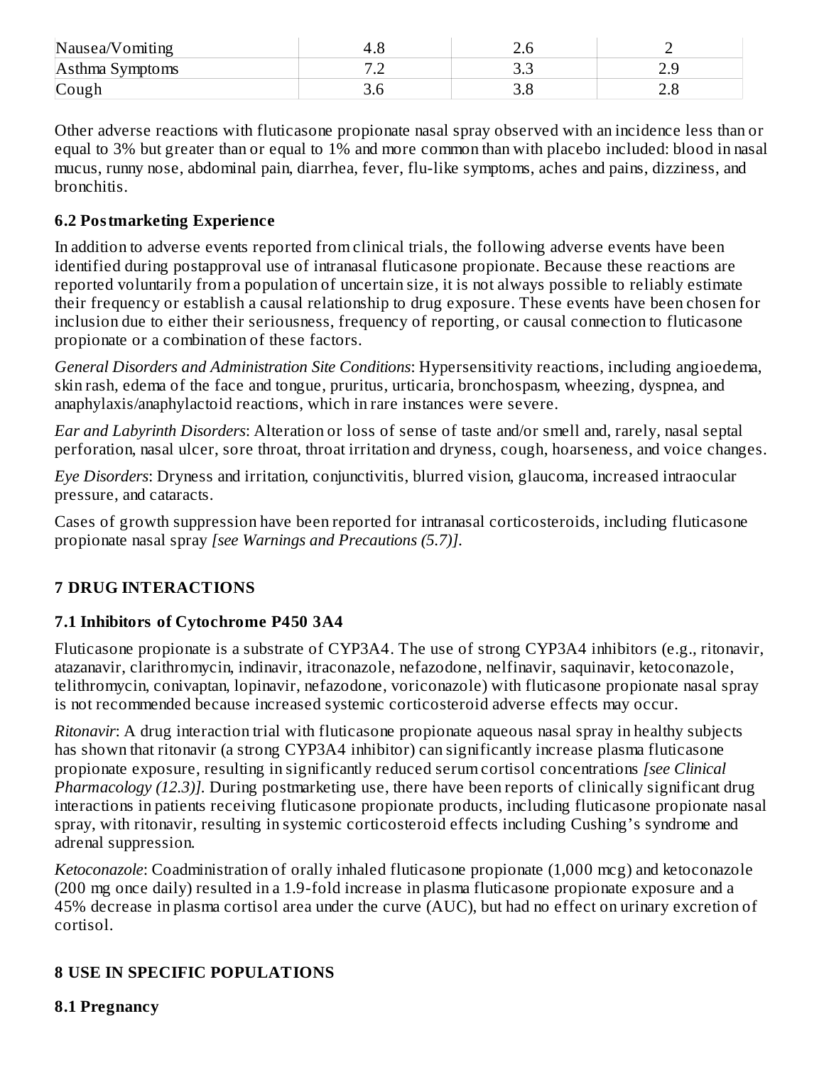| Nausea/Vomiting | 4.C                                    | ے . |      |
|-----------------|----------------------------------------|-----|------|
| Asthma Symptoms | $\overline{ }$<br>$\cdot$ $\leftarrow$ | ◡•◡ | ں کے |
| Cough           | U.U                                    | ◡.◡ | ∠.∪  |

Other adverse reactions with fluticasone propionate nasal spray observed with an incidence less than or equal to 3% but greater than or equal to 1% and more common than with placebo included: blood in nasal mucus, runny nose, abdominal pain, diarrhea, fever, flu-like symptoms, aches and pains, dizziness, and bronchitis.

## **6.2 Postmarketing Experience**

In addition to adverse events reported from clinical trials, the following adverse events have been identified during postapproval use of intranasal fluticasone propionate. Because these reactions are reported voluntarily from a population of uncertain size, it is not always possible to reliably estimate their frequency or establish a causal relationship to drug exposure. These events have been chosen for inclusion due to either their seriousness, frequency of reporting, or causal connection to fluticasone propionate or a combination of these factors.

*General Disorders and Administration Site Conditions*: Hypersensitivity reactions, including angioedema, skin rash, edema of the face and tongue, pruritus, urticaria, bronchospasm, wheezing, dyspnea, and anaphylaxis/anaphylactoid reactions, which in rare instances were severe.

*Ear and Labyrinth Disorders*: Alteration or loss of sense of taste and/or smell and, rarely, nasal septal perforation, nasal ulcer, sore throat, throat irritation and dryness, cough, hoarseness, and voice changes.

*Eye Disorders*: Dryness and irritation, conjunctivitis, blurred vision, glaucoma, increased intraocular pressure, and cataracts.

Cases of growth suppression have been reported for intranasal corticosteroids, including fluticasone propionate nasal spray *[see Warnings and Precautions (5.7)]*.

# **7 DRUG INTERACTIONS**

## **7.1 Inhibitors of Cytochrome P450 3A4**

Fluticasone propionate is a substrate of CYP3A4. The use of strong CYP3A4 inhibitors (e.g., ritonavir, atazanavir, clarithromycin, indinavir, itraconazole, nefazodone, nelfinavir, saquinavir, ketoconazole, telithromycin, conivaptan, lopinavir, nefazodone, voriconazole) with fluticasone propionate nasal spray is not recommended because increased systemic corticosteroid adverse effects may occur.

*Ritonavir*: A drug interaction trial with fluticasone propionate aqueous nasal spray in healthy subjects has shown that ritonavir (a strong CYP3A4 inhibitor) can significantly increase plasma fluticasone propionate exposure, resulting in significantly reduced serum cortisol concentrations *[see Clinical Pharmacology (12.3)].* During postmarketing use, there have been reports of clinically significant drug interactions in patients receiving fluticasone propionate products, including fluticasone propionate nasal spray, with ritonavir, resulting in systemic corticosteroid effects including Cushing's syndrome and adrenal suppression.

*Ketoconazole*: Coadministration of orally inhaled fluticasone propionate (1,000 mcg) and ketoconazole (200 mg once daily) resulted in a 1.9-fold increase in plasma fluticasone propionate exposure and a 45% decrease in plasma cortisol area under the curve (AUC), but had no effect on urinary excretion of cortisol.

## **8 USE IN SPECIFIC POPULATIONS**

## **8.1 Pregnancy**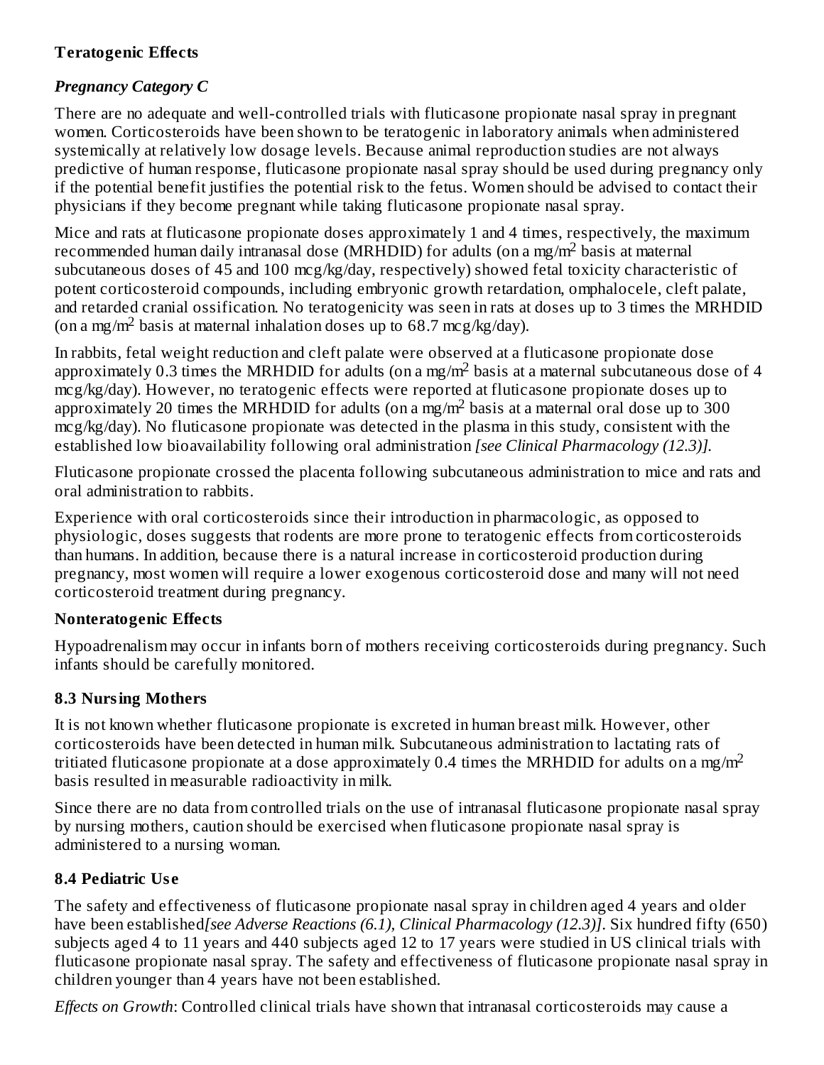## **Teratogenic Effects**

## *Pregnancy Category C*

There are no adequate and well-controlled trials with fluticasone propionate nasal spray in pregnant women. Corticosteroids have been shown to be teratogenic in laboratory animals when administered systemically at relatively low dosage levels. Because animal reproduction studies are not always predictive of human response, fluticasone propionate nasal spray should be used during pregnancy only if the potential benefit justifies the potential risk to the fetus. Women should be advised to contact their physicians if they become pregnant while taking fluticasone propionate nasal spray.

Mice and rats at fluticasone propionate doses approximately 1 and 4 times, respectively, the maximum recommended human daily intranasal dose (MRHDID) for adults (on a mg/m<sup>2</sup> basis at maternal subcutaneous doses of 45 and 100 mcg/kg/day, respectively) showed fetal toxicity characteristic of potent corticosteroid compounds, including embryonic growth retardation, omphalocele, cleft palate, and retarded cranial ossification. No teratogenicity was seen in rats at doses up to 3 times the MRHDID (on a mg/m<sup>2</sup> basis at maternal inhalation doses up to 68.7 mcg/kg/day).

In rabbits, fetal weight reduction and cleft palate were observed at a fluticasone propionate dose approximately 0.3 times the MRHDID for adults (on a mg/m<sup>2</sup> basis at a maternal subcutaneous dose of 4 mcg/kg/day). However, no teratogenic effects were reported at fluticasone propionate doses up to approximately 20 times the MRHDID for adults (on a mg/m<sup>2</sup> basis at a maternal oral dose up to 300 mcg/kg/day). No fluticasone propionate was detected in the plasma in this study, consistent with the established low bioavailability following oral administration *[see Clinical Pharmacology (12.3)].*

Fluticasone propionate crossed the placenta following subcutaneous administration to mice and rats and oral administration to rabbits.

Experience with oral corticosteroids since their introduction in pharmacologic, as opposed to physiologic, doses suggests that rodents are more prone to teratogenic effects from corticosteroids than humans. In addition, because there is a natural increase in corticosteroid production during pregnancy, most women will require a lower exogenous corticosteroid dose and many will not need corticosteroid treatment during pregnancy.

#### **Nonteratogenic Effects**

Hypoadrenalism may occur in infants born of mothers receiving corticosteroids during pregnancy. Such infants should be carefully monitored.

# **8.3 Nursing Mothers**

It is not known whether fluticasone propionate is excreted in human breast milk. However, other corticosteroids have been detected in human milk. Subcutaneous administration to lactating rats of tritiated fluticasone propionate at a dose approximately 0.4 times the MRHDID for adults on a mg/m<sup>2</sup> basis resulted in measurable radioactivity in milk.

Since there are no data from controlled trials on the use of intranasal fluticasone propionate nasal spray by nursing mothers, caution should be exercised when fluticasone propionate nasal spray is administered to a nursing woman.

## **8.4 Pediatric Us e**

The safety and effectiveness of fluticasone propionate nasal spray in children aged 4 years and older have been established*[see Adverse Reactions (6.1), Clinical Pharmacology (12.3)]*. Six hundred fifty (650) subjects aged 4 to 11 years and 440 subjects aged 12 to 17 years were studied in US clinical trials with fluticasone propionate nasal spray. The safety and effectiveness of fluticasone propionate nasal spray in children younger than 4 years have not been established.

*Effects on Growth*: Controlled clinical trials have shown that intranasal corticosteroids may cause a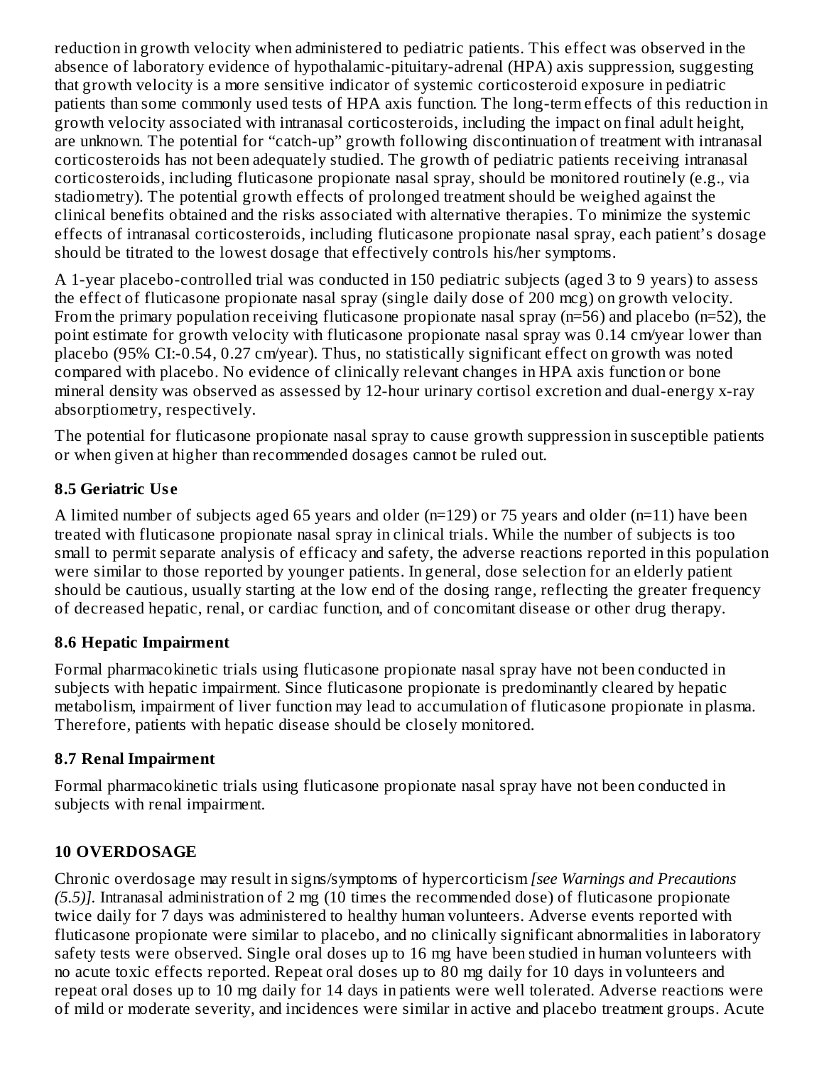reduction in growth velocity when administered to pediatric patients. This effect was observed in the absence of laboratory evidence of hypothalamic-pituitary-adrenal (HPA) axis suppression, suggesting that growth velocity is a more sensitive indicator of systemic corticosteroid exposure in pediatric patients than some commonly used tests of HPA axis function. The long-term effects of this reduction in growth velocity associated with intranasal corticosteroids, including the impact on final adult height, are unknown. The potential for "catch-up" growth following discontinuation of treatment with intranasal corticosteroids has not been adequately studied. The growth of pediatric patients receiving intranasal corticosteroids, including fluticasone propionate nasal spray, should be monitored routinely (e.g., via stadiometry). The potential growth effects of prolonged treatment should be weighed against the clinical benefits obtained and the risks associated with alternative therapies. To minimize the systemic effects of intranasal corticosteroids, including fluticasone propionate nasal spray, each patient's dosage should be titrated to the lowest dosage that effectively controls his/her symptoms.

A 1-year placebo-controlled trial was conducted in 150 pediatric subjects (aged 3 to 9 years) to assess the effect of fluticasone propionate nasal spray (single daily dose of 200 mcg) on growth velocity. From the primary population receiving fluticasone propionate nasal spray (n=56) and placebo (n=52), the point estimate for growth velocity with fluticasone propionate nasal spray was 0.14 cm/year lower than placebo (95% CI:-0.54, 0.27 cm/year). Thus, no statistically significant effect on growth was noted compared with placebo. No evidence of clinically relevant changes in HPA axis function or bone mineral density was observed as assessed by 12-hour urinary cortisol excretion and dual-energy x-ray absorptiometry, respectively.

The potential for fluticasone propionate nasal spray to cause growth suppression in susceptible patients or when given at higher than recommended dosages cannot be ruled out.

## **8.5 Geriatric Us e**

A limited number of subjects aged 65 years and older (n=129) or 75 years and older (n=11) have been treated with fluticasone propionate nasal spray in clinical trials. While the number of subjects is too small to permit separate analysis of efficacy and safety, the adverse reactions reported in this population were similar to those reported by younger patients. In general, dose selection for an elderly patient should be cautious, usually starting at the low end of the dosing range, reflecting the greater frequency of decreased hepatic, renal, or cardiac function, and of concomitant disease or other drug therapy.

## **8.6 Hepatic Impairment**

Formal pharmacokinetic trials using fluticasone propionate nasal spray have not been conducted in subjects with hepatic impairment. Since fluticasone propionate is predominantly cleared by hepatic metabolism, impairment of liver function may lead to accumulation of fluticasone propionate in plasma. Therefore, patients with hepatic disease should be closely monitored.

## **8.7 Renal Impairment**

Formal pharmacokinetic trials using fluticasone propionate nasal spray have not been conducted in subjects with renal impairment.

## **10 OVERDOSAGE**

Chronic overdosage may result in signs/symptoms of hypercorticism *[see Warnings and Precautions (5.5)].* Intranasal administration of 2 mg (10 times the recommended dose) of fluticasone propionate twice daily for 7 days was administered to healthy human volunteers. Adverse events reported with fluticasone propionate were similar to placebo, and no clinically significant abnormalities in laboratory safety tests were observed. Single oral doses up to 16 mg have been studied in human volunteers with no acute toxic effects reported. Repeat oral doses up to 80 mg daily for 10 days in volunteers and repeat oral doses up to 10 mg daily for 14 days in patients were well tolerated. Adverse reactions were of mild or moderate severity, and incidences were similar in active and placebo treatment groups. Acute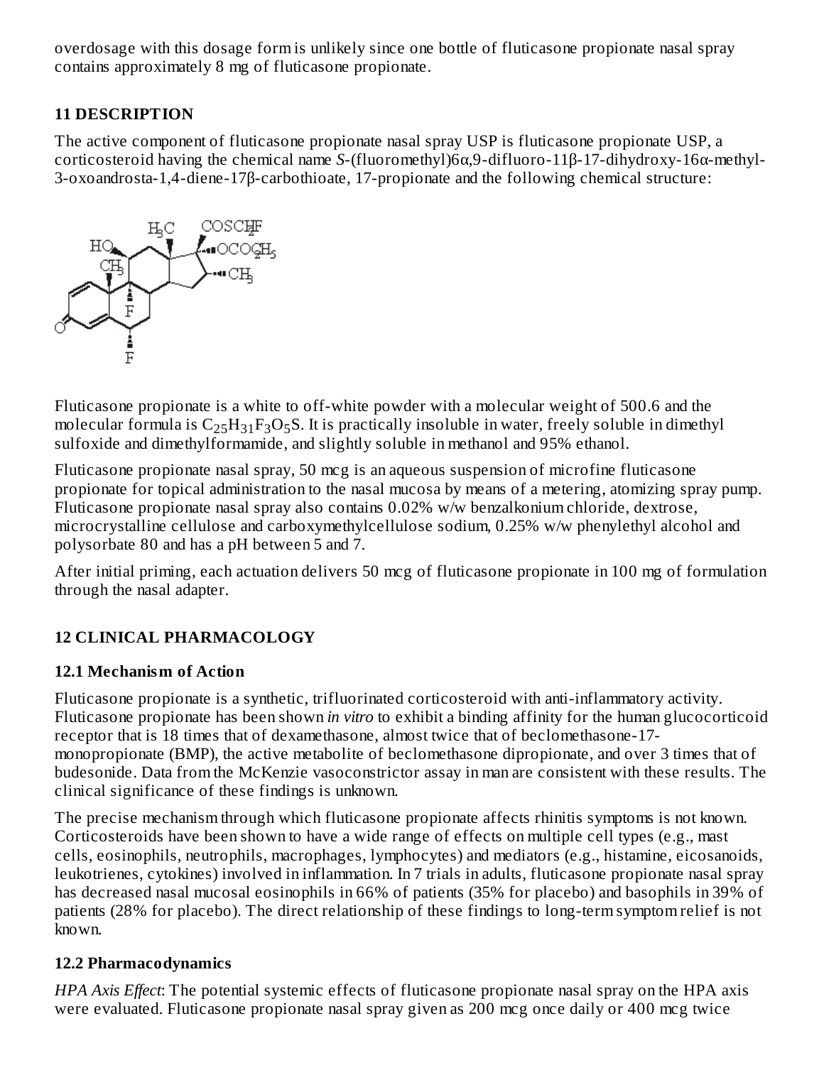overdosage with this dosage form is unlikely since one bottle of fluticasone propionate nasal spray contains approximately 8 mg of fluticasone propionate.

## **11 DESCRIPTION**

The active component of fluticasone propionate nasal spray USP is fluticasone propionate USP, a corticosteroid having the chemical name *S*-(fluoromethyl)6α,9-difluoro-11β-17-dihydroxy-16α-methyl-3-oxoandrosta-1,4-diene-17β-carbothioate, 17-propionate and the following chemical structure:



Fluticasone propionate is a white to off-white powder with a molecular weight of 500.6 and the molecular formula is  $\rm{C_{25}H_{31}F_{3}O_{5}S}.$  It is practically insoluble in water, freely soluble in dimethyl sulfoxide and dimethylformamide, and slightly soluble in methanol and 95% ethanol.

Fluticasone propionate nasal spray, 50 mcg is an aqueous suspension of microfine fluticasone propionate for topical administration to the nasal mucosa by means of a metering, atomizing spray pump. Fluticasone propionate nasal spray also contains 0.02% w/w benzalkonium chloride, dextrose, microcrystalline cellulose and carboxymethylcellulose sodium, 0.25% w/w phenylethyl alcohol and polysorbate 80 and has a pH between 5 and 7.

After initial priming, each actuation delivers 50 mcg of fluticasone propionate in 100 mg of formulation through the nasal adapter.

# **12 CLINICAL PHARMACOLOGY**

## **12.1 Mechanism of Action**

Fluticasone propionate is a synthetic, trifluorinated corticosteroid with anti-inflammatory activity. Fluticasone propionate has been shown *in vitro* to exhibit a binding affinity for the human glucocorticoid receptor that is 18 times that of dexamethasone, almost twice that of beclomethasone-17 monopropionate (BMP), the active metabolite of beclomethasone dipropionate, and over 3 times that of budesonide. Data from the McKenzie vasoconstrictor assay in man are consistent with these results. The clinical significance of these findings is unknown.

The precise mechanism through which fluticasone propionate affects rhinitis symptoms is not known. Corticosteroids have been shown to have a wide range of effects on multiple cell types (e.g., mast cells, eosinophils, neutrophils, macrophages, lymphocytes) and mediators (e.g., histamine, eicosanoids, leukotrienes, cytokines) involved in inflammation. In 7 trials in adults, fluticasone propionate nasal spray has decreased nasal mucosal eosinophils in 66% of patients (35% for placebo) and basophils in 39% of patients (28% for placebo). The direct relationship of these findings to long-term symptom relief is not known.

## **12.2 Pharmacodynamics**

*HPA Axis Effect*: The potential systemic effects of fluticasone propionate nasal spray on the HPA axis were evaluated. Fluticasone propionate nasal spray given as 200 mcg once daily or 400 mcg twice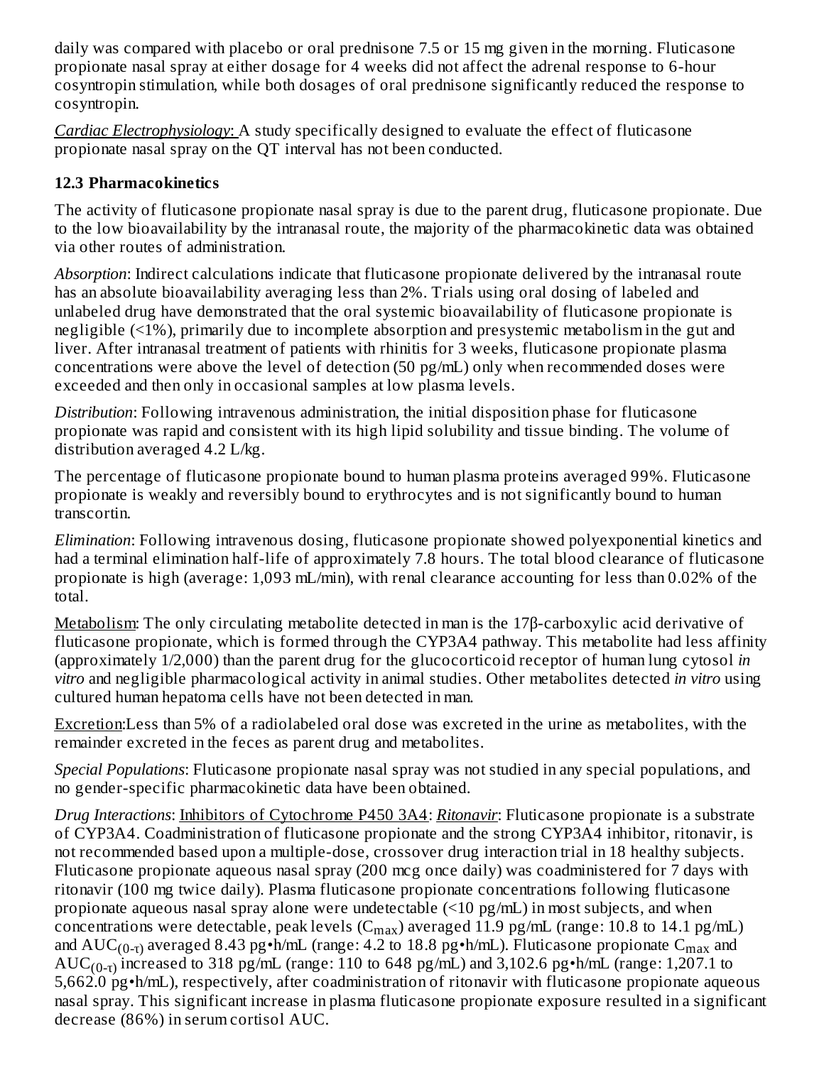daily was compared with placebo or oral prednisone 7.5 or 15 mg given in the morning. Fluticasone propionate nasal spray at either dosage for 4 weeks did not affect the adrenal response to 6-hour cosyntropin stimulation, while both dosages of oral prednisone significantly reduced the response to cosyntropin.

*Cardiac Electrophysiology*: A study specifically designed to evaluate the effect of fluticasone propionate nasal spray on the QT interval has not been conducted.

## **12.3 Pharmacokinetics**

The activity of fluticasone propionate nasal spray is due to the parent drug, fluticasone propionate. Due to the low bioavailability by the intranasal route, the majority of the pharmacokinetic data was obtained via other routes of administration.

*Absorption*: Indirect calculations indicate that fluticasone propionate delivered by the intranasal route has an absolute bioavailability averaging less than 2%. Trials using oral dosing of labeled and unlabeled drug have demonstrated that the oral systemic bioavailability of fluticasone propionate is negligible (<1%), primarily due to incomplete absorption and presystemic metabolism in the gut and liver. After intranasal treatment of patients with rhinitis for 3 weeks, fluticasone propionate plasma concentrations were above the level of detection (50 pg/mL) only when recommended doses were exceeded and then only in occasional samples at low plasma levels.

*Distribution*: Following intravenous administration, the initial disposition phase for fluticasone propionate was rapid and consistent with its high lipid solubility and tissue binding. The volume of distribution averaged 4.2 L/kg.

The percentage of fluticasone propionate bound to human plasma proteins averaged 99%. Fluticasone propionate is weakly and reversibly bound to erythrocytes and is not significantly bound to human transcortin.

*Elimination*: Following intravenous dosing, fluticasone propionate showed polyexponential kinetics and had a terminal elimination half-life of approximately 7.8 hours. The total blood clearance of fluticasone propionate is high (average: 1,093 mL/min), with renal clearance accounting for less than 0.02% of the total.

Metabolism: The only circulating metabolite detected in man is the 17β-carboxylic acid derivative of fluticasone propionate, which is formed through the CYP3A4 pathway. This metabolite had less affinity (approximately 1/2,000) than the parent drug for the glucocorticoid receptor of human lung cytosol *in vitro* and negligible pharmacological activity in animal studies. Other metabolites detected *in vitro* using cultured human hepatoma cells have not been detected in man.

Excretion:Less than 5% of a radiolabeled oral dose was excreted in the urine as metabolites, with the remainder excreted in the feces as parent drug and metabolites.

*Special Populations*: Fluticasone propionate nasal spray was not studied in any special populations, and no gender-specific pharmacokinetic data have been obtained.

*Drug Interactions*: Inhibitors of Cytochrome P450 3A4: *Ritonavir*: Fluticasone propionate is a substrate of CYP3A4. Coadministration of fluticasone propionate and the strong CYP3A4 inhibitor, ritonavir, is not recommended based upon a multiple-dose, crossover drug interaction trial in 18 healthy subjects. Fluticasone propionate aqueous nasal spray (200 mcg once daily) was coadministered for 7 days with ritonavir (100 mg twice daily). Plasma fluticasone propionate concentrations following fluticasone propionate aqueous nasal spray alone were undetectable (<10 pg/mL) in most subjects, and when concentrations were detectable, peak levels ( $\rm{C_{max}}$ ) averaged 11.9 pg/mL (range: 10.8 to 14.1 pg/mL) and  $\mathrm{AUC_{(0\text{-}t)}}$  averaged 8.43 pg•h/mL (range: 4.2 to 18.8 pg•h/mL). Fluticasone propionate  $\mathrm{C_{max}}$  and  $\text{AUC}_{(0\text{-}t)}$  increased to 318 pg/mL (range: 110 to 648 pg/mL) and 3,102.6 pg•h/mL (range: 1,207.1 to 5,662.0 pg•h/mL), respectively, after coadministration of ritonavir with fluticasone propionate aqueous nasal spray. This significant increase in plasma fluticasone propionate exposure resulted in a significant decrease (86%) in serum cortisol AUC.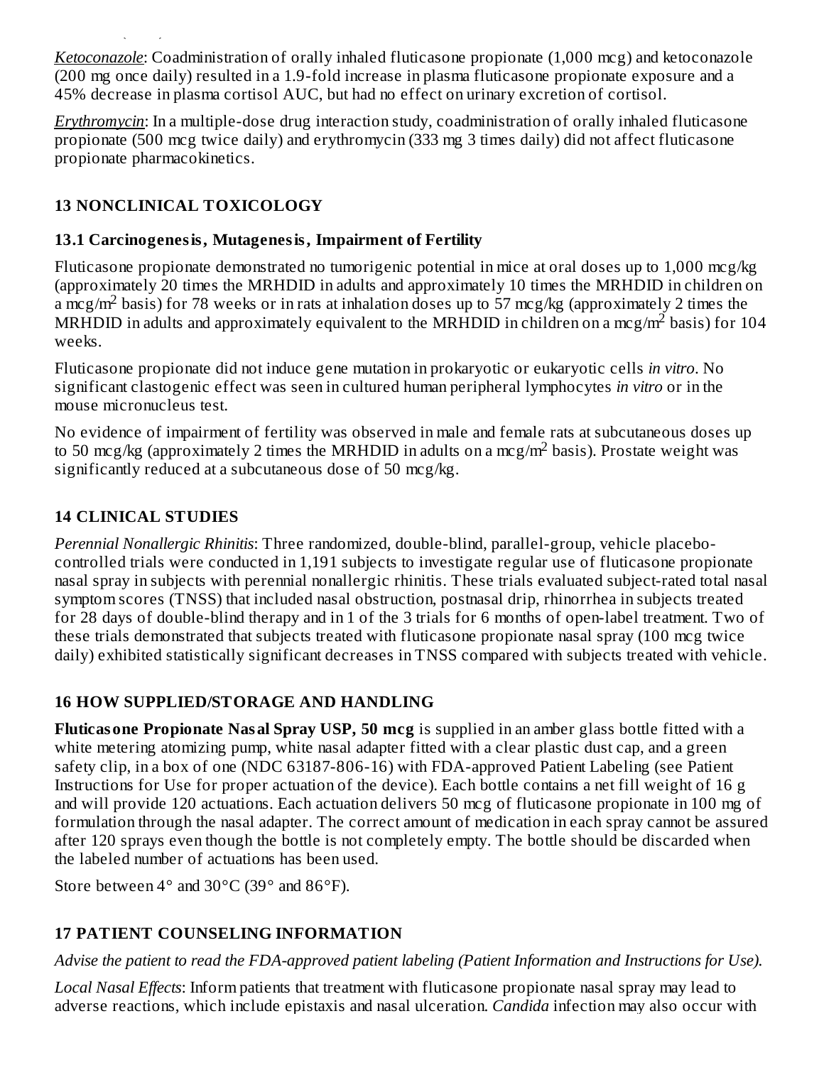*Ketoconazole*: Coadministration of orally inhaled fluticasone propionate (1,000 mcg) and ketoconazole (200 mg once daily) resulted in a 1.9-fold increase in plasma fluticasone propionate exposure and a 45% decrease in plasma cortisol AUC, but had no effect on urinary excretion of cortisol.

*Erythromycin*: In a multiple-dose drug interaction study, coadministration of orally inhaled fluticasone propionate (500 mcg twice daily) and erythromycin (333 mg 3 times daily) did not affect fluticasone propionate pharmacokinetics.

## **13 NONCLINICAL TOXICOLOGY**

decrease (86%) in serum cortisol AUC.

#### **13.1 Carcinogenesis, Mutagenesis, Impairment of Fertility**

Fluticasone propionate demonstrated no tumorigenic potential in mice at oral doses up to 1,000 mcg/kg (approximately 20 times the MRHDID in adults and approximately 10 times the MRHDID in children on  $\frac{1}{\pi}$  a mcg/m<sup>2</sup> basis) for 78 weeks or in rats at inhalation doses up to 57 mcg/kg (approximately 2 times the MRHDID in adults and approximately equivalent to the MRHDID in children on a mcg/m<sup>2</sup> basis) for 104 weeks.

Fluticasone propionate did not induce gene mutation in prokaryotic or eukaryotic cells *in vitro*. No significant clastogenic effect was seen in cultured human peripheral lymphocytes *in vitro* or in the mouse micronucleus test.

No evidence of impairment of fertility was observed in male and female rats at subcutaneous doses up to 50 mcg/kg (approximately 2 times the MRHDID in adults on a mcg/m<sup>2</sup> basis). Prostate weight was significantly reduced at a subcutaneous dose of 50 mcg/kg.

## **14 CLINICAL STUDIES**

*Perennial Nonallergic Rhinitis*: Three randomized, double-blind, parallel-group, vehicle placebocontrolled trials were conducted in 1,191 subjects to investigate regular use of fluticasone propionate nasal spray in subjects with perennial nonallergic rhinitis. These trials evaluated subject-rated total nasal symptom scores (TNSS) that included nasal obstruction, postnasal drip, rhinorrhea in subjects treated for 28 days of double-blind therapy and in 1 of the 3 trials for 6 months of open-label treatment. Two of these trials demonstrated that subjects treated with fluticasone propionate nasal spray (100 mcg twice daily) exhibited statistically significant decreases in TNSS compared with subjects treated with vehicle.

## **16 HOW SUPPLIED/STORAGE AND HANDLING**

**Fluticasone Propionate Nasal Spray USP, 50 mcg** is supplied in an amber glass bottle fitted with a white metering atomizing pump, white nasal adapter fitted with a clear plastic dust cap, and a green safety clip, in a box of one (NDC 63187-806-16) with FDA-approved Patient Labeling (see Patient Instructions for Use for proper actuation of the device). Each bottle contains a net fill weight of 16 g and will provide 120 actuations. Each actuation delivers 50 mcg of fluticasone propionate in 100 mg of formulation through the nasal adapter. The correct amount of medication in each spray cannot be assured after 120 sprays even though the bottle is not completely empty. The bottle should be discarded when the labeled number of actuations has been used.

Store between 4° and 30°C (39° and 86°F).

# **17 PATIENT COUNSELING INFORMATION**

## *Advise the patient to read the FDA-approved patient labeling (Patient Information and Instructions for Use).*

*Local Nasal Effects*: Inform patients that treatment with fluticasone propionate nasal spray may lead to adverse reactions, which include epistaxis and nasal ulceration. *Candida* infection may also occur with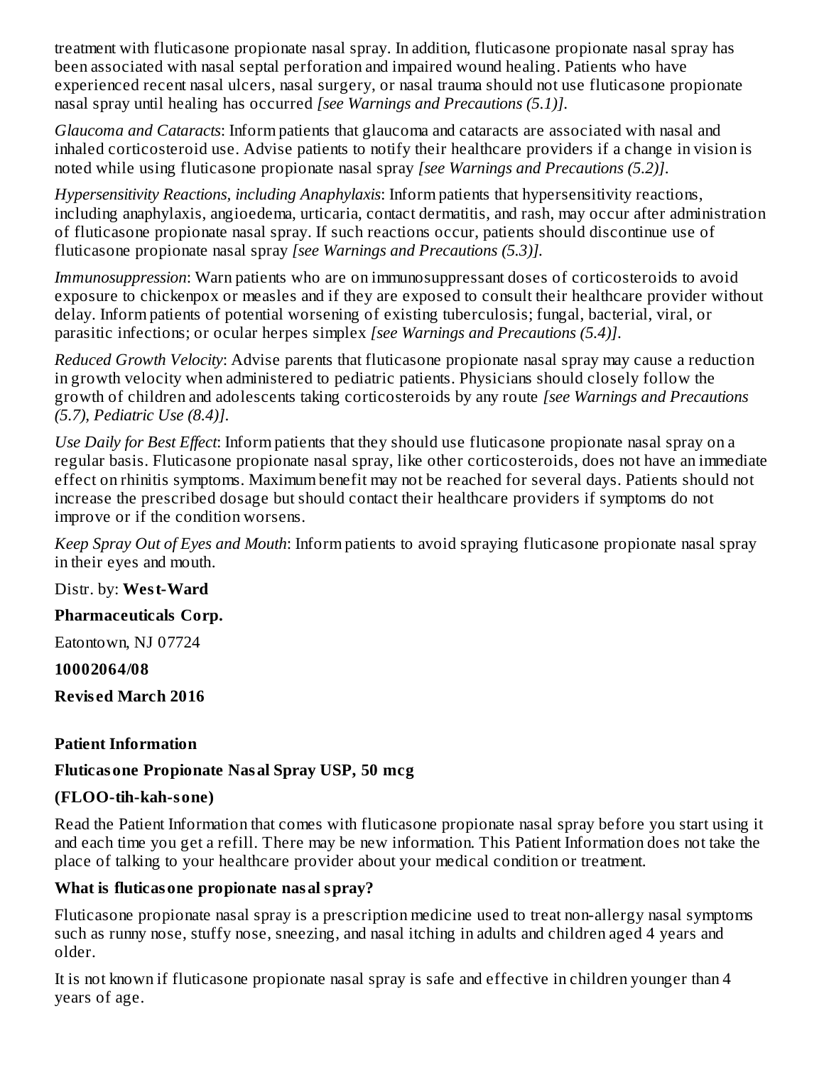treatment with fluticasone propionate nasal spray. In addition, fluticasone propionate nasal spray has been associated with nasal septal perforation and impaired wound healing. Patients who have experienced recent nasal ulcers, nasal surgery, or nasal trauma should not use fluticasone propionate nasal spray until healing has occurred *[see Warnings and Precautions (5.1)]*.

*Glaucoma and Cataracts*: Inform patients that glaucoma and cataracts are associated with nasal and inhaled corticosteroid use. Advise patients to notify their healthcare providers if a change in vision is noted while using fluticasone propionate nasal spray *[see Warnings and Precautions (5.2)]*.

*Hypersensitivity Reactions, including Anaphylaxis*: Inform patients that hypersensitivity reactions, including anaphylaxis, angioedema, urticaria, contact dermatitis, and rash, may occur after administration of fluticasone propionate nasal spray. If such reactions occur, patients should discontinue use of fluticasone propionate nasal spray *[see Warnings and Precautions (5.3)].*

*Immunosuppression*: Warn patients who are on immunosuppressant doses of corticosteroids to avoid exposure to chickenpox or measles and if they are exposed to consult their healthcare provider without delay. Inform patients of potential worsening of existing tuberculosis; fungal, bacterial, viral, or parasitic infections; or ocular herpes simplex *[see Warnings and Precautions (5.4)]*.

*Reduced Growth Velocity*: Advise parents that fluticasone propionate nasal spray may cause a reduction in growth velocity when administered to pediatric patients. Physicians should closely follow the growth of children and adolescents taking corticosteroids by any route *[see Warnings and Precautions (5.7), Pediatric Use (8.4)]*.

*Use Daily for Best Effect*: Inform patients that they should use fluticasone propionate nasal spray on a regular basis. Fluticasone propionate nasal spray, like other corticosteroids, does not have an immediate effect on rhinitis symptoms. Maximum benefit may not be reached for several days. Patients should not increase the prescribed dosage but should contact their healthcare providers if symptoms do not improve or if the condition worsens.

*Keep Spray Out of Eyes and Mouth*: Inform patients to avoid spraying fluticasone propionate nasal spray in their eyes and mouth.

Distr. by: **West-Ward**

#### **Pharmaceuticals Corp.**

Eatontown, NJ 07724

**10002064/08**

**Revis ed March 2016**

#### **Patient Information**

#### **Fluticasone Propionate Nasal Spray USP, 50 mcg**

#### **(FLOO-tih-kah-sone)**

Read the Patient Information that comes with fluticasone propionate nasal spray before you start using it and each time you get a refill. There may be new information. This Patient Information does not take the place of talking to your healthcare provider about your medical condition or treatment.

#### **What is fluticasone propionate nasal spray?**

Fluticasone propionate nasal spray is a prescription medicine used to treat non-allergy nasal symptoms such as runny nose, stuffy nose, sneezing, and nasal itching in adults and children aged 4 years and older.

It is not known if fluticasone propionate nasal spray is safe and effective in children younger than 4 years of age.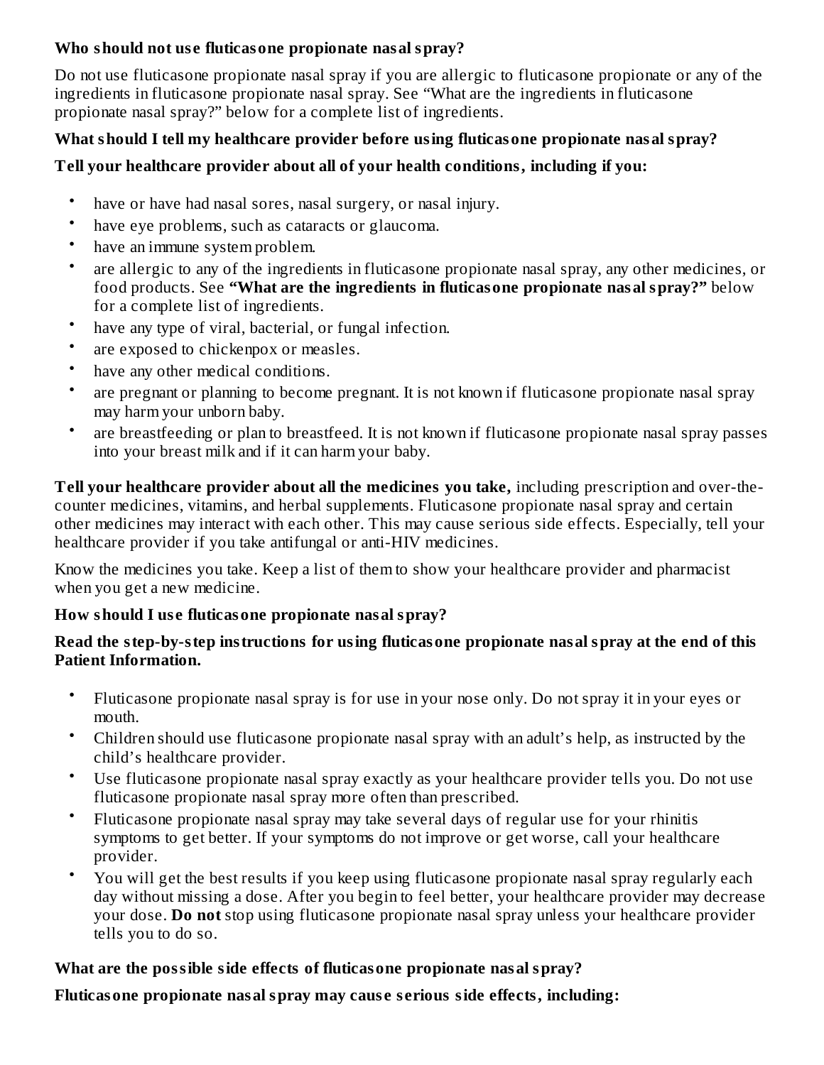## **Who should not us e fluticasone propionate nasal spray?**

Do not use fluticasone propionate nasal spray if you are allergic to fluticasone propionate or any of the ingredients in fluticasone propionate nasal spray. See "What are the ingredients in fluticasone propionate nasal spray?" below for a complete list of ingredients.

## **What should I tell my healthcare provider before using fluticasone propionate nasal spray?**

# **Tell your healthcare provider about all of your health conditions, including if you:**

- have or have had nasal sores, nasal surgery, or nasal injury.
- have eye problems, such as cataracts or glaucoma.
- have an immune system problem.
- are allergic to any of the ingredients in fluticasone propionate nasal spray, any other medicines, or food products. See **"What are the ingredients in fluticasone propionate nasal spray?"** below for a complete list of ingredients.
- have any type of viral, bacterial, or fungal infection.
- are exposed to chickenpox or measles.
- have any other medical conditions.
- are pregnant or planning to become pregnant. It is not known if fluticasone propionate nasal spray may harm your unborn baby.
- are breastfeeding or plan to breastfeed. It is not known if fluticasone propionate nasal spray passes into your breast milk and if it can harm your baby.

**Tell your healthcare provider about all the medicines you take,** including prescription and over-thecounter medicines, vitamins, and herbal supplements. Fluticasone propionate nasal spray and certain other medicines may interact with each other. This may cause serious side effects. Especially, tell your healthcare provider if you take antifungal or anti-HIV medicines.

Know the medicines you take. Keep a list of them to show your healthcare provider and pharmacist when you get a new medicine.

# **How should I us e fluticasone propionate nasal spray?**

#### **Read the step-by-step instructions for using fluticasone propionate nasal spray at the end of this Patient Information.**

- Fluticasone propionate nasal spray is for use in your nose only. Do not spray it in your eyes or mouth.
- Children should use fluticasone propionate nasal spray with an adult's help, as instructed by the child's healthcare provider.
- Use fluticasone propionate nasal spray exactly as your healthcare provider tells you. Do not use fluticasone propionate nasal spray more often than prescribed.
- Fluticasone propionate nasal spray may take several days of regular use for your rhinitis symptoms to get better. If your symptoms do not improve or get worse, call your healthcare provider.
- You will get the best results if you keep using fluticasone propionate nasal spray regularly each day without missing a dose. After you begin to feel better, your healthcare provider may decrease your dose. **Do not** stop using fluticasone propionate nasal spray unless your healthcare provider tells you to do so.

# **What are the possible side effects of fluticasone propionate nasal spray?**

**Fluticasone propionate nasal spray may caus e s erious side effects, including:**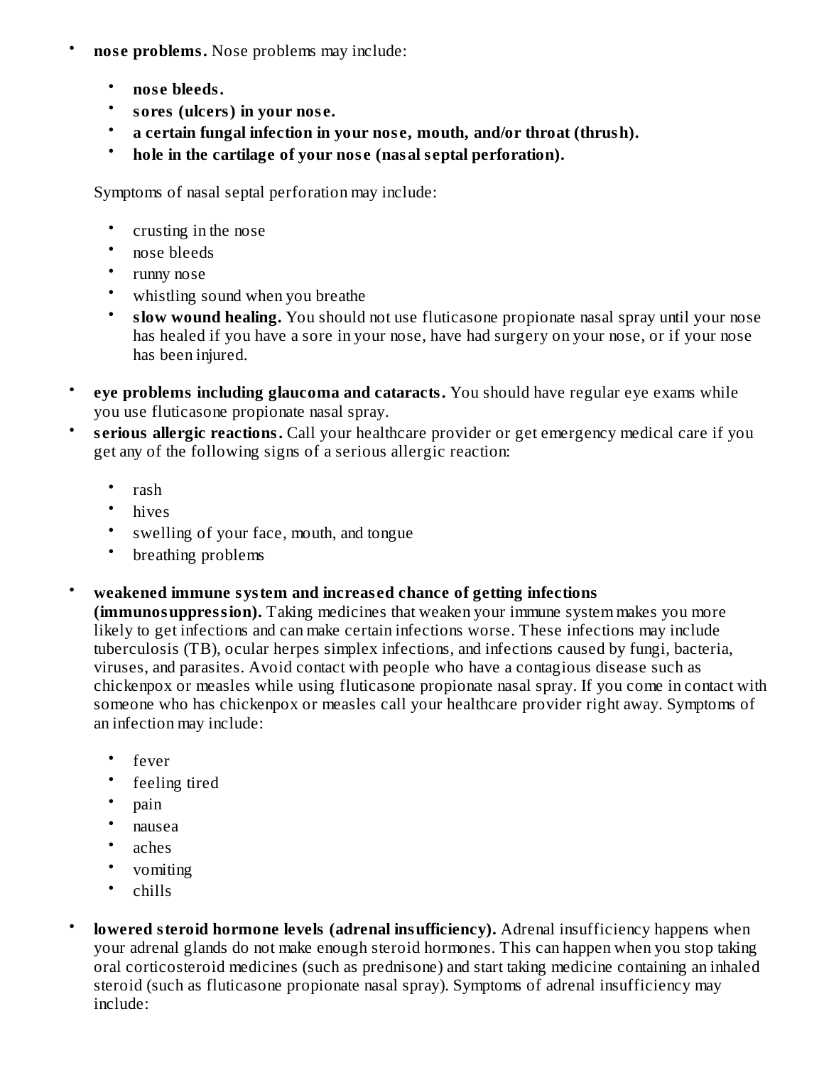**nos e problems.** Nose problems may include:

• **nos e bleeds.**

•

- **sores (ulcers) in your nos e.**
- **a certain fungal infection in your nos e, mouth, and/or throat (thrush).**
- **hole in the cartilage of your nos e (nasal s eptal perforation).**

Symptoms of nasal septal perforation may include:

- crusting in the nose
- nose bleeds
- runny nose
- whistling sound when you breathe
- **slow wound healing.** You should not use fluticasone propionate nasal spray until your nose has healed if you have a sore in your nose, have had surgery on your nose, or if your nose has been injured.
- **eye problems including glaucoma and cataracts.** You should have regular eye exams while you use fluticasone propionate nasal spray.
- **s erious allergic reactions.** Call your healthcare provider or get emergency medical care if you get any of the following signs of a serious allergic reaction:
	- rash
	- hives
	- swelling of your face, mouth, and tongue
	- breathing problems

• **weakened immune system and increas ed chance of getting infections**

**(immunosuppression).** Taking medicines that weaken your immune system makes you more likely to get infections and can make certain infections worse. These infections may include tuberculosis (TB), ocular herpes simplex infections, and infections caused by fungi, bacteria, viruses, and parasites. Avoid contact with people who have a contagious disease such as chickenpox or measles while using fluticasone propionate nasal spray. If you come in contact with someone who has chickenpox or measles call your healthcare provider right away. Symptoms of an infection may include:

- fever
- feeling tired
- pain
- nausea
- aches
- vomiting
- chills

•

**lowered steroid hormone levels (adrenal insufficiency).** Adrenal insufficiency happens when your adrenal glands do not make enough steroid hormones. This can happen when you stop taking oral corticosteroid medicines (such as prednisone) and start taking medicine containing an inhaled steroid (such as fluticasone propionate nasal spray). Symptoms of adrenal insufficiency may include: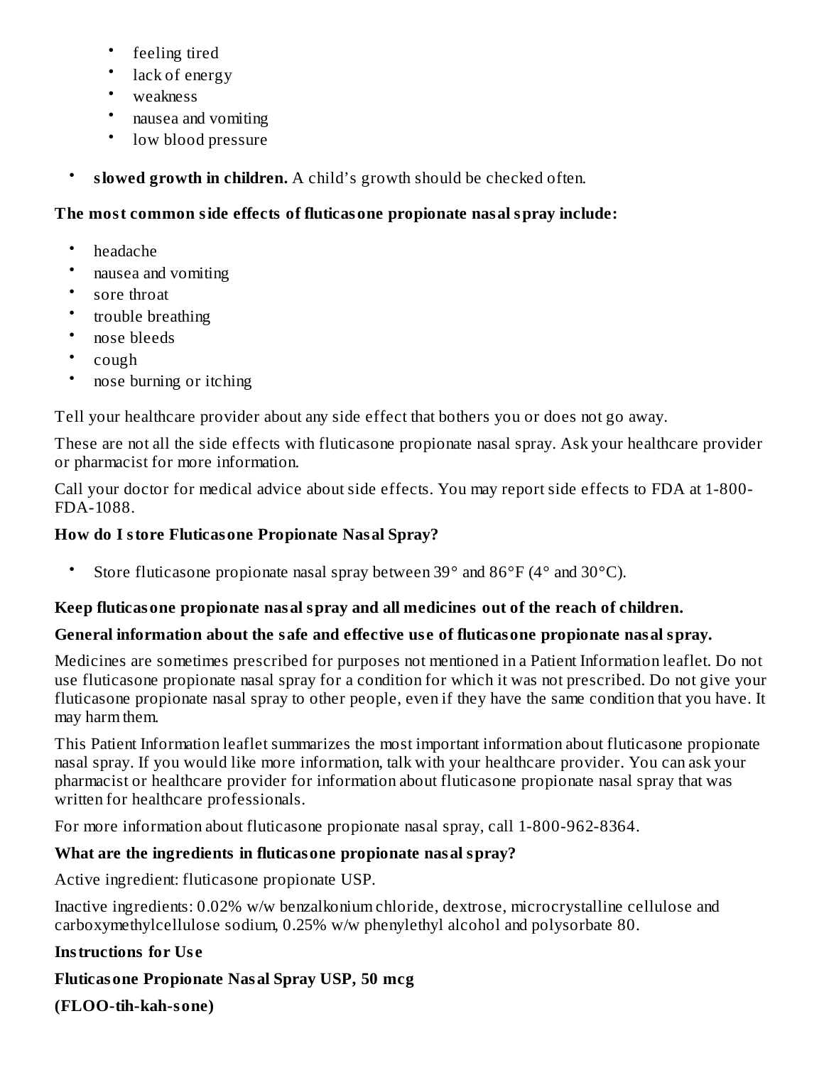- feeling tired
- lack of energy
- weakness
- nausea and vomiting
- low blood pressure
- **slowed growth in children.** A child's growth should be checked often.

#### **The most common side effects of fluticasone propionate nasal spray include:**

• headache

•

- nausea and vomiting
- sore throat
- trouble breathing
- nose bleeds
- cough
- nose burning or itching

Tell your healthcare provider about any side effect that bothers you or does not go away.

These are not all the side effects with fluticasone propionate nasal spray. Ask your healthcare provider or pharmacist for more information.

Call your doctor for medical advice about side effects. You may report side effects to FDA at 1-800- FDA-1088.

#### **How do I store Fluticasone Propionate Nasal Spray?**

• Store fluticasone propionate nasal spray between 39° and 86°F (4° and 30°C).

#### **Keep fluticasone propionate nasal spray and all medicines out of the reach of children.**

#### **General information about the safe and effective us e of fluticasone propionate nasal spray.**

Medicines are sometimes prescribed for purposes not mentioned in a Patient Information leaflet. Do not use fluticasone propionate nasal spray for a condition for which it was not prescribed. Do not give your fluticasone propionate nasal spray to other people, even if they have the same condition that you have. It may harm them.

This Patient Information leaflet summarizes the most important information about fluticasone propionate nasal spray. If you would like more information, talk with your healthcare provider. You can ask your pharmacist or healthcare provider for information about fluticasone propionate nasal spray that was written for healthcare professionals.

For more information about fluticasone propionate nasal spray, call 1-800-962-8364.

#### **What are the ingredients in fluticasone propionate nasal spray?**

Active ingredient: fluticasone propionate USP.

Inactive ingredients: 0.02% w/w benzalkonium chloride, dextrose, microcrystalline cellulose and carboxymethylcellulose sodium, 0.25% w/w phenylethyl alcohol and polysorbate 80.

## **Instructions for Us e**

**Fluticasone Propionate Nasal Spray USP, 50 mcg**

**(FLOO-tih-kah-sone)**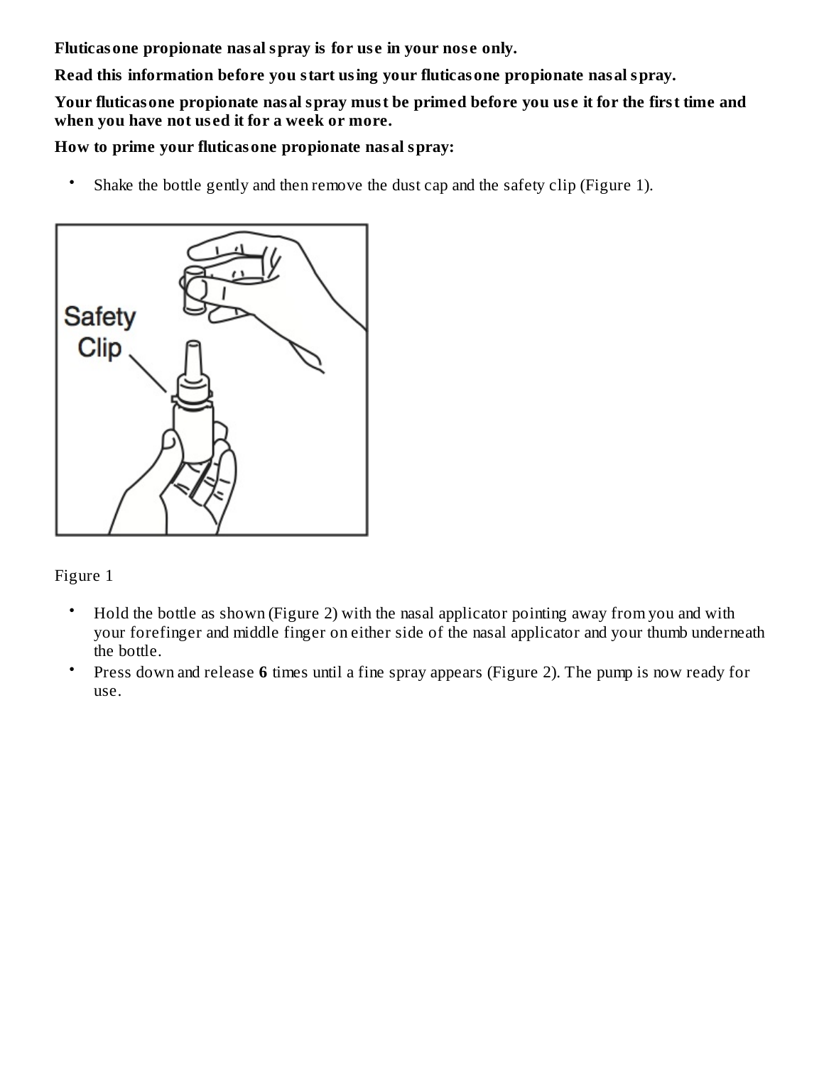**Fluticasone propionate nasal spray is for us e in your nos e only.**

**Read this information before you start using your fluticasone propionate nasal spray.**

**Your fluticasone propionate nasal spray must be primed before you us e it for the first time and when you have not us ed it for a week or more.**

**How to prime your fluticasone propionate nasal spray:**

• Shake the bottle gently and then remove the dust cap and the safety clip (Figure 1).



Figure 1

- Hold the bottle as shown (Figure 2) with the nasal applicator pointing away from you and with your forefinger and middle finger on either side of the nasal applicator and your thumb underneath the bottle.
- Press down and release **6** times until a fine spray appears (Figure 2). The pump is now ready for use.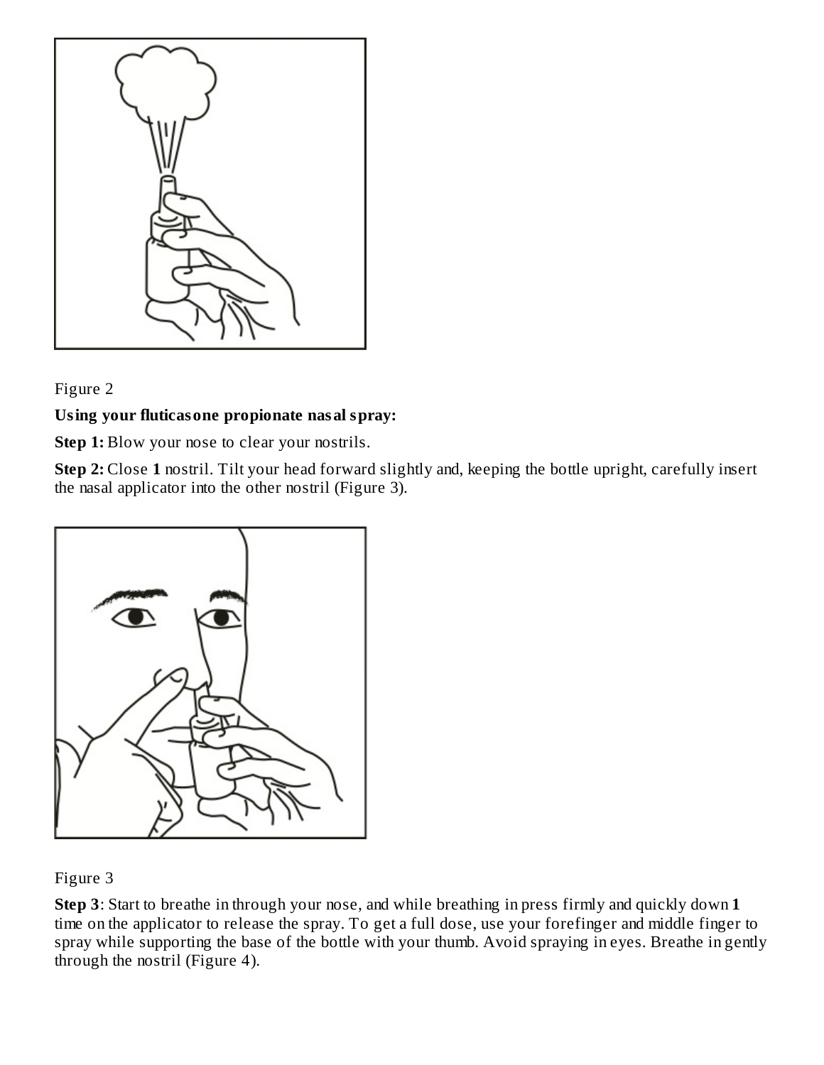



#### **Using your fluticasone propionate nasal spray:**

**Step 1:** Blow your nose to clear your nostrils.

**Step 2:** Close **1** nostril. Tilt your head forward slightly and, keeping the bottle upright, carefully insert the nasal applicator into the other nostril (Figure 3).



Figure 3

**Step 3**: Start to breathe in through your nose, and while breathing in press firmly and quickly down **1** time on the applicator to release the spray. To get a full dose, use your forefinger and middle finger to spray while supporting the base of the bottle with your thumb. Avoid spraying in eyes. Breathe in gently through the nostril (Figure 4).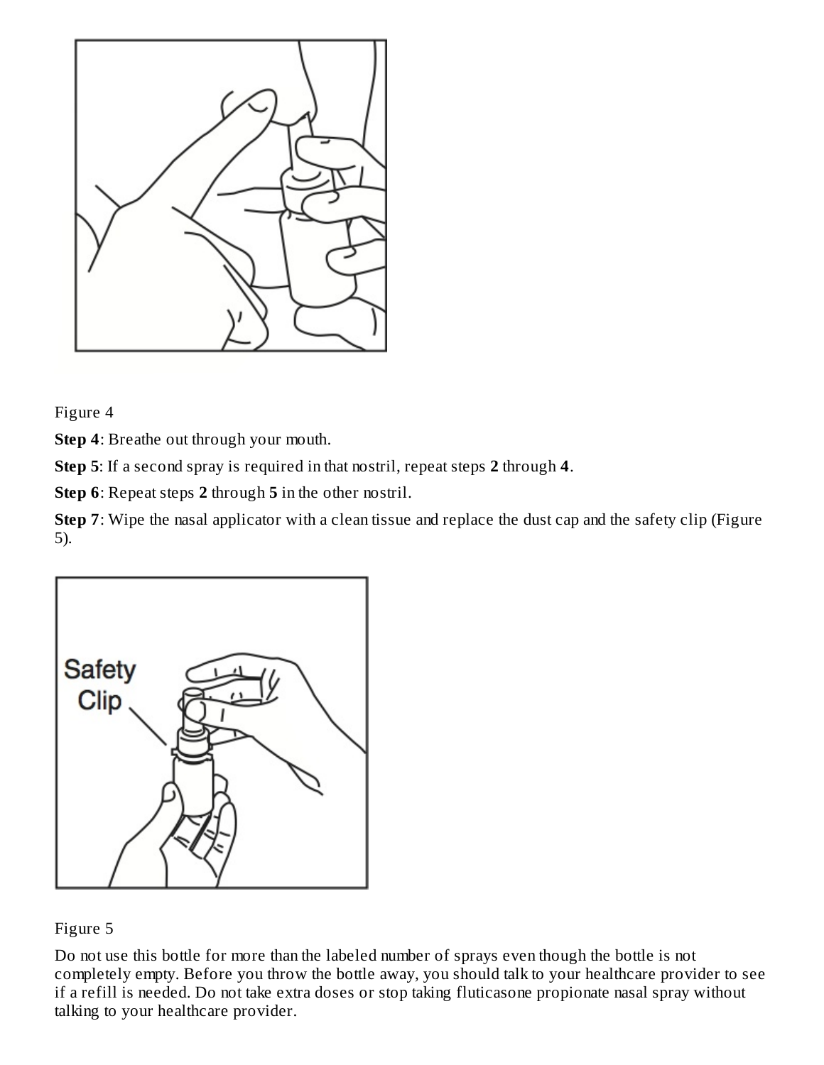

Figure 4

**Step 4**: Breathe out through your mouth.

**Step 5**: If a second spray is required in that nostril, repeat steps **2** through **4**.

**Step 6**: Repeat steps **2** through **5** in the other nostril.

**Step 7**: Wipe the nasal applicator with a clean tissue and replace the dust cap and the safety clip (Figure 5).



Figure 5

Do not use this bottle for more than the labeled number of sprays even though the bottle is not completely empty. Before you throw the bottle away, you should talk to your healthcare provider to see if a refill is needed. Do not take extra doses or stop taking fluticasone propionate nasal spray without talking to your healthcare provider.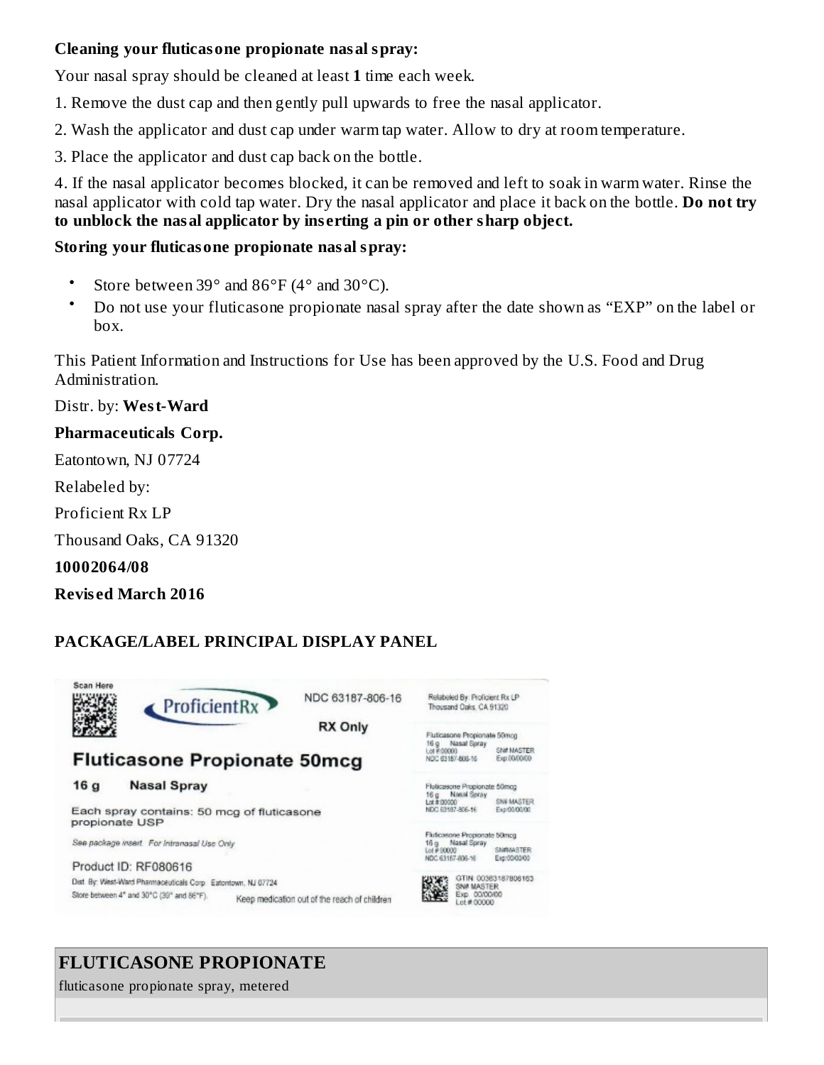#### **Cleaning your fluticasone propionate nasal spray:**

Your nasal spray should be cleaned at least **1** time each week.

- 1. Remove the dust cap and then gently pull upwards to free the nasal applicator.
- 2. Wash the applicator and dust cap under warm tap water. Allow to dry at room temperature.
- 3. Place the applicator and dust cap back on the bottle.

4. If the nasal applicator becomes blocked, it can be removed and left to soak in warm water. Rinse the nasal applicator with cold tap water. Dry the nasal applicator and place it back on the bottle. **Do not try to unblock the nasal applicator by ins erting a pin or other sharp object.**

#### **Storing your fluticasone propionate nasal spray:**

- Store between 39° and 86°F (4° and 30°C).
- Do not use your fluticasone propionate nasal spray after the date shown as "EXP" on the label or box.

This Patient Information and Instructions for Use has been approved by the U.S. Food and Drug Administration.

Distr. by: **West-Ward**

#### **Pharmaceuticals Corp.**

Eatontown, NJ 07724

Relabeled by:

Proficient Rx LP

Thousand Oaks, CA 91320

#### **10002064/08**

**Revis ed March 2016**

## **PACKAGE/LABEL PRINCIPAL DISPLAY PANEL**



# **FLUTICASONE PROPIONATE**

fluticasone propionate spray, metered